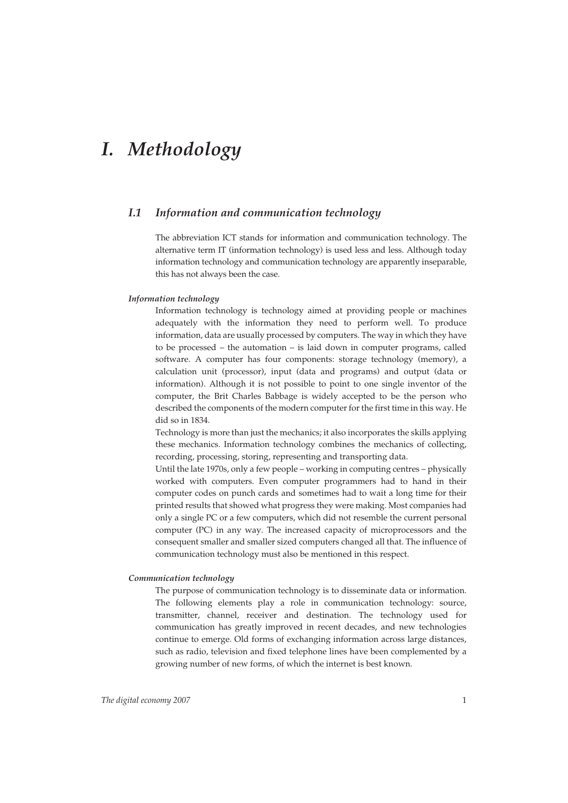# *I. Methodology*

## *I.1 Information and communication technology*

The abbreviation ICT stands for information and communication technology. The alternative term IT (information technology) is used less and less. Although today information technology and communication technology are apparently inseparable, this has not always been the case.

#### *Information technology*

Information technology is technology aimed at providing people or machines adequately with the information they need to perform well. To produce information, data are usually processed by computers. The way in which they have to be processed – the automation – is laid down in computer programs, called software. A computer has four components: storage technology (memory), a calculation unit (processor), input (data and programs) and output (data or information). Although it is not possible to point to one single inventor of the computer, the Brit Charles Babbage is widely accepted to be the person who described the components of the modern computer for the first time in this way. He did so in 1834.

Technology is more than just the mechanics; it also incorporates the skills applying these mechanics. Information technology combines the mechanics of collecting, recording, processing, storing, representing and transporting data.

Until the late 1970s, only a few people – working in computing centres – physically worked with computers. Even computer programmers had to hand in their computer codes on punch cards and sometimes had to wait a long time for their printed results that showed what progress they were making. Most companies had only a single PC or a few computers, which did not resemble the current personal computer (PC) in any way. The increased capacity of microprocessors and the consequent smaller and smaller sized computers changed all that. The influence of communication technology must also be mentioned in this respect.

### *Communication technology*

The purpose of communication technology is to disseminate data or information. The following elements play a role in communication technology: source, transmitter, channel, receiver and destination. The technology used for communication has greatly improved in recent decades, and new technologies continue to emerge. Old forms of exchanging information across large distances, such as radio, television and fixed telephone lines have been complemented by a growing number of new forms, of which the internet is best known.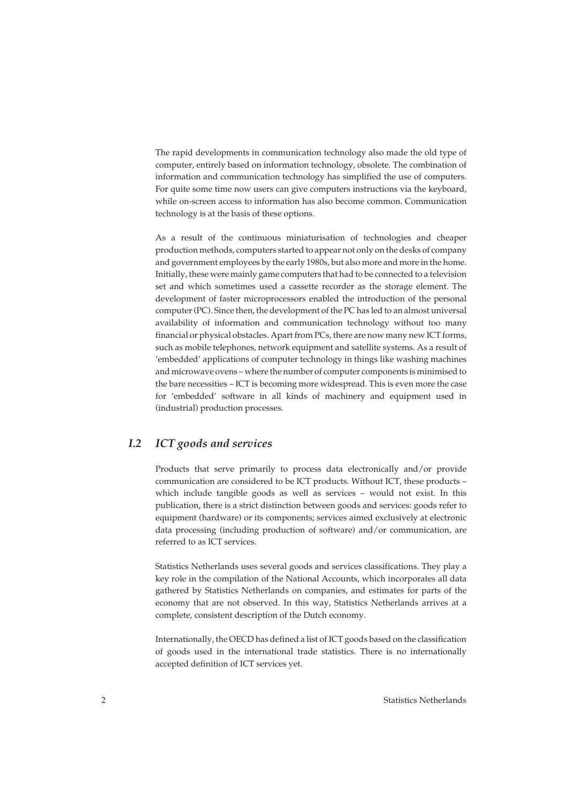The rapid developments in communication technology also made the old type of computer, entirely based on information technology, obsolete. The combination of information and communication technology has simplified the use of computers. For quite some time now users can give computers instructions via the keyboard, while on-screen access to information has also become common. Communication technology is at the basis of these options.

As a result of the continuous miniaturisation of technologies and cheaper production methods, computers started to appear not only on the desks of company and government employees by the early 1980s, but also more and more in the home. Initially, these were mainly game computers that had to be connected to a television set and which sometimes used a cassette recorder as the storage element. The development of faster microprocessors enabled the introduction of the personal computer (PC). Since then, the development of the PC has led to an almost universal availability of information and communication technology without too many financial or physical obstacles. Apart from PCs, there are now many new ICT forms, such as mobile telephones, network equipment and satellite systems. As a result of 'embedded' applications of computer technology in things like washing machines and microwave ovens – where the number of computer components is minimised to the bare necessities – ICT is becoming more widespread. This is even more the case for 'embedded' software in all kinds of machinery and equipment used in (industrial) production processes.

## *I.2 ICT goods and services*

Products that serve primarily to process data electronically and/or provide communication are considered to be ICT products. Without ICT, these products – which include tangible goods as well as services – would not exist. In this publication, there is a strict distinction between goods and services: goods refer to equipment (hardware) or its components; services aimed exclusively at electronic data processing (including production of software) and/or communication, are referred to as ICT services.

Statistics Netherlands uses several goods and services classifications. They play a key role in the compilation of the National Accounts, which incorporates all data gathered by Statistics Netherlands on companies, and estimates for parts of the economy that are not observed. In this way, Statistics Netherlands arrives at a complete, consistent description of the Dutch economy.

Internationally, the OECD has defined a list of ICT goods based on the classification of goods used in the international trade statistics. There is no internationally accepted definition of ICT services yet.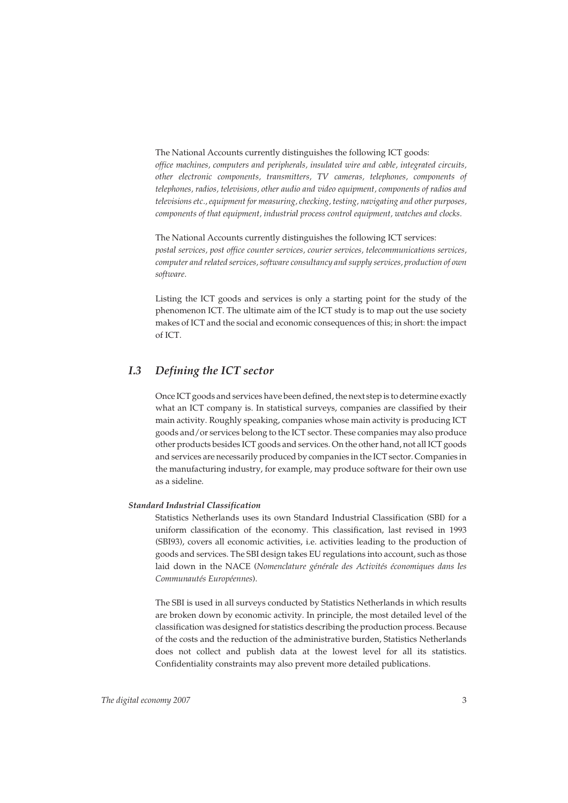The National Accounts currently distinguishes the following ICT goods: *office machines, computers and peripherals, insulated wire and cable, integrated circuits, other electronic components, transmitters, TV cameras, telephones, components of telephones, radios, televisions, other audio and video equipment, components of radios and televisions etc., equipment for measuring, checking, testing, navigating and other purposes, components of that equipment, industrial process control equipment, watches and clocks.*

The National Accounts currently distinguishes the following ICT services: *postal services, post office counter services, courier services, telecommunications services, computer and related services, software consultancy and supply services, production of own software.*

Listing the ICT goods and services is only a starting point for the study of the phenomenon ICT. The ultimate aim of the ICT study is to map out the use society makes of ICT and the social and economic consequences of this; in short: the impact of ICT.

## *I.3 Defining the ICT sector*

Once ICT goods and services have been defined, the next step is to determine exactly what an ICT company is. In statistical surveys, companies are classified by their main activity. Roughly speaking, companies whose main activity is producing ICT goods and/or services belong to the ICT sector. These companies may also produce other products besides ICT goods and services. On the other hand, not all ICT goods and services are necessarily produced by companies in the ICT sector. Companies in the manufacturing industry, for example, may produce software for their own use as a sideline.

#### *Standard Industrial Classification*

Statistics Netherlands uses its own Standard Industrial Classification (SBI) for a uniform classification of the economy. This classification, last revised in 1993 (SBI93), covers all economic activities, i.e. activities leading to the production of goods and services. The SBI design takes EU regulations into account, such as those laid down in the NACE (*Nomenclature générale des Activités économiques dans les Communautés Européennes*).

The SBI is used in all surveys conducted by Statistics Netherlands in which results are broken down by economic activity. In principle, the most detailed level of the classification was designed for statistics describing the production process. Because of the costs and the reduction of the administrative burden, Statistics Netherlands does not collect and publish data at the lowest level for all its statistics. Confidentiality constraints may also prevent more detailed publications.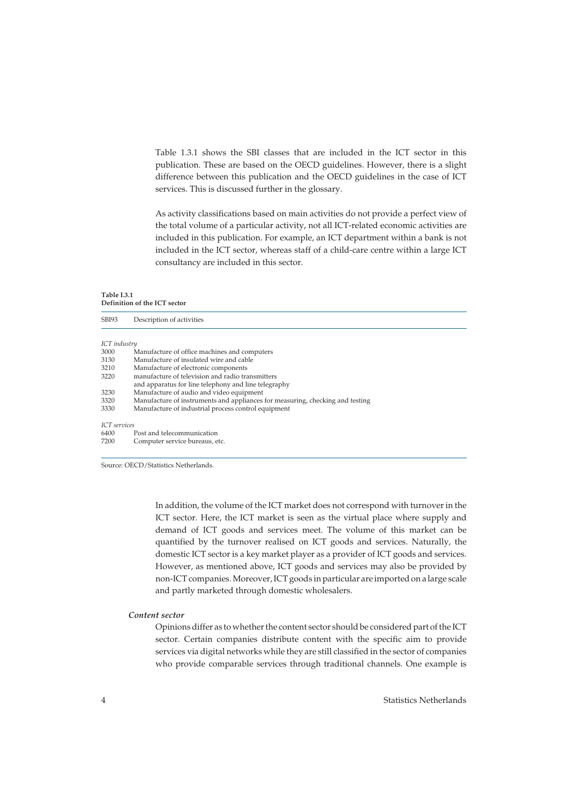Table 1.3.1 shows the SBI classes that are included in the ICT sector in this publication. These are based on the OECD guidelines. However, there is a slight difference between this publication and the OECD guidelines in the case of ICT services. This is discussed further in the glossary.

As activity classifications based on main activities do not provide a perfect view of the total volume of a particular activity, not all ICT-related economic activities are included in this publication. For example, an ICT department within a bank is not included in the ICT sector, whereas staff of a child-care centre within a large ICT consultancy are included in this sector.

#### **Table I.3.1 Definition of the ICT sector**

| SBI93               | Description of activities                                                     |
|---------------------|-------------------------------------------------------------------------------|
|                     |                                                                               |
| ICT industry        |                                                                               |
| 3000                | Manufacture of office machines and computers                                  |
| 3130                | Manufacture of insulated wire and cable                                       |
| 3210                | Manufacture of electronic components                                          |
| 3220                | manufacture of television and radio transmitters                              |
|                     | and apparatus for line telephony and line telegraphy                          |
| 3230                | Manufacture of audio and video equipment                                      |
| 3320                | Manufacture of instruments and appliances for measuring, checking and testing |
| 3330                | Manufacture of industrial process control equipment                           |
| <b>ICT</b> services |                                                                               |
| 6400                | Post and telecommunication                                                    |
| 7200                | Computer service bureaus, etc.                                                |
|                     |                                                                               |

Source: OECD/Statistics Netherlands.

In addition, the volume of the ICT market does not correspond with turnover in the ICT sector. Here, the ICT market is seen as the virtual place where supply and demand of ICT goods and services meet. The volume of this market can be quantified by the turnover realised on ICT goods and services. Naturally, the domestic ICT sector is a key market player as a provider of ICT goods and services. However, as mentioned above, ICT goods and services may also be provided by non-ICT companies. Moreover, ICT goods in particular are imported on a large scale and partly marketed through domestic wholesalers.

#### *Content sector*

Opinions differ as to whether the content sector should be considered part of the ICT sector. Certain companies distribute content with the specific aim to provide services via digital networks while they are still classified in the sector of companies who provide comparable services through traditional channels. One example is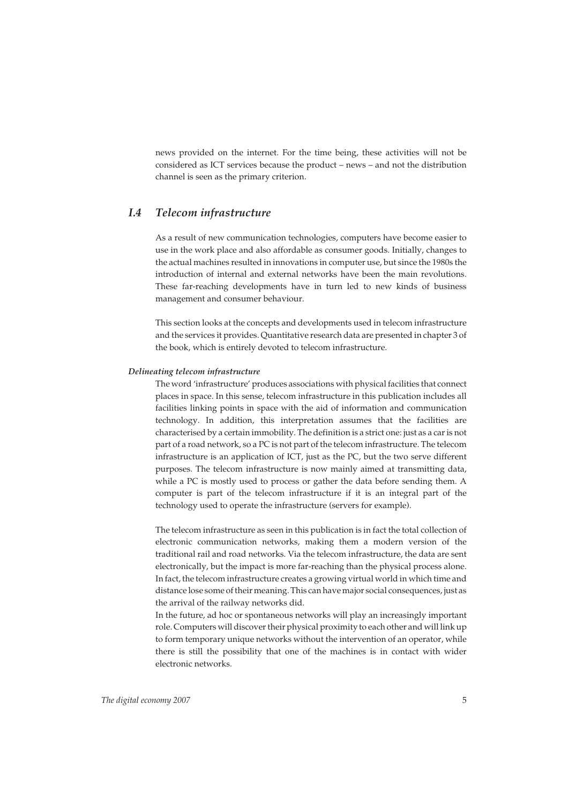news provided on the internet. For the time being, these activities will not be considered as ICT services because the product – news – and not the distribution channel is seen as the primary criterion.

## *I.4 Telecom infrastructure*

As a result of new communication technologies, computers have become easier to use in the work place and also affordable as consumer goods. Initially, changes to the actual machines resulted in innovations in computer use, but since the 1980s the introduction of internal and external networks have been the main revolutions. These far-reaching developments have in turn led to new kinds of business management and consumer behaviour.

This section looks at the concepts and developments used in telecom infrastructure and the services it provides. Quantitative research data are presented in chapter 3 of the book, which is entirely devoted to telecom infrastructure.

#### *Delineating telecom infrastructure*

The word 'infrastructure' produces associations with physical facilities that connect places in space. In this sense, telecom infrastructure in this publication includes all facilities linking points in space with the aid of information and communication technology. In addition, this interpretation assumes that the facilities are characterised by a certain immobility. The definition is a strict one: just as a car is not part of a road network, so a PC is not part of the telecom infrastructure. The telecom infrastructure is an application of ICT, just as the PC, but the two serve different purposes. The telecom infrastructure is now mainly aimed at transmitting data, while a PC is mostly used to process or gather the data before sending them. A computer is part of the telecom infrastructure if it is an integral part of the technology used to operate the infrastructure (servers for example).

The telecom infrastructure as seen in this publication is in fact the total collection of electronic communication networks, making them a modern version of the traditional rail and road networks. Via the telecom infrastructure, the data are sent electronically, but the impact is more far-reaching than the physical process alone. In fact, the telecom infrastructure creates a growing virtual world in which time and distance lose some of their meaning. This can have major social consequences, just as the arrival of the railway networks did.

In the future, ad hoc or spontaneous networks will play an increasingly important role. Computers will discover their physical proximity to each other and will link up to form temporary unique networks without the intervention of an operator, while there is still the possibility that one of the machines is in contact with wider electronic networks.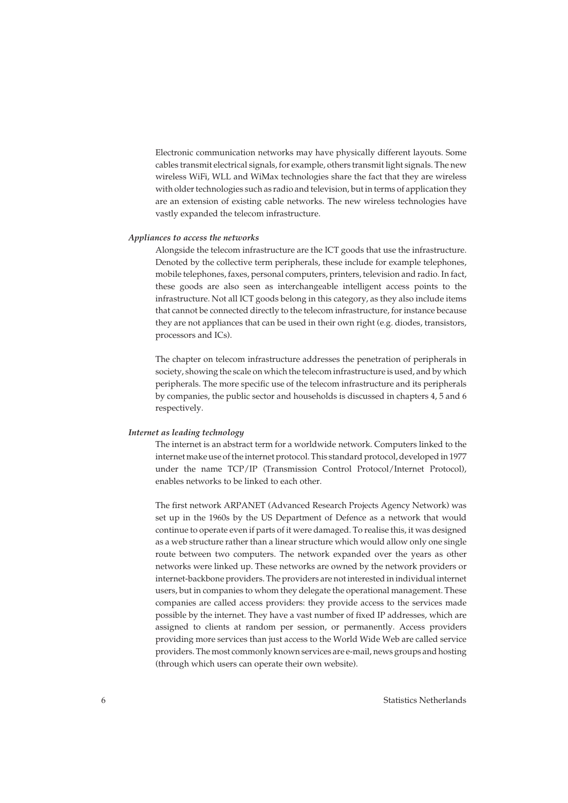Electronic communication networks may have physically different layouts. Some cables transmit electrical signals, for example, others transmit light signals. The new wireless WiFi, WLL and WiMax technologies share the fact that they are wireless with older technologies such as radio and television, but in terms of application they are an extension of existing cable networks. The new wireless technologies have vastly expanded the telecom infrastructure.

#### *Appliances to access the networks*

Alongside the telecom infrastructure are the ICT goods that use the infrastructure. Denoted by the collective term peripherals, these include for example telephones, mobile telephones, faxes, personal computers, printers, television and radio. In fact, these goods are also seen as interchangeable intelligent access points to the infrastructure. Not all ICT goods belong in this category, as they also include items that cannot be connected directly to the telecom infrastructure, for instance because they are not appliances that can be used in their own right (e.g. diodes, transistors, processors and ICs).

The chapter on telecom infrastructure addresses the penetration of peripherals in society, showing the scale on which the telecom infrastructure is used, and by which peripherals. The more specific use of the telecom infrastructure and its peripherals by companies, the public sector and households is discussed in chapters 4, 5 and 6 respectively.

#### *Internet as leading technology*

The internet is an abstract term for a worldwide network. Computers linked to the internet make use of the internet protocol. This standard protocol, developed in 1977 under the name TCP/IP (Transmission Control Protocol/Internet Protocol), enables networks to be linked to each other.

The first network ARPANET (Advanced Research Projects Agency Network) was set up in the 1960s by the US Department of Defence as a network that would continue to operate even if parts of it were damaged. To realise this, it was designed as a web structure rather than a linear structure which would allow only one single route between two computers. The network expanded over the years as other networks were linked up. These networks are owned by the network providers or internet-backbone providers. The providers are not interested in individual internet users, but in companies to whom they delegate the operational management. These companies are called access providers: they provide access to the services made possible by the internet. They have a vast number of fixed IP addresses, which are assigned to clients at random per session, or permanently. Access providers providing more services than just access to the World Wide Web are called service providers. The most commonly known services are e-mail, news groups and hosting (through which users can operate their own website).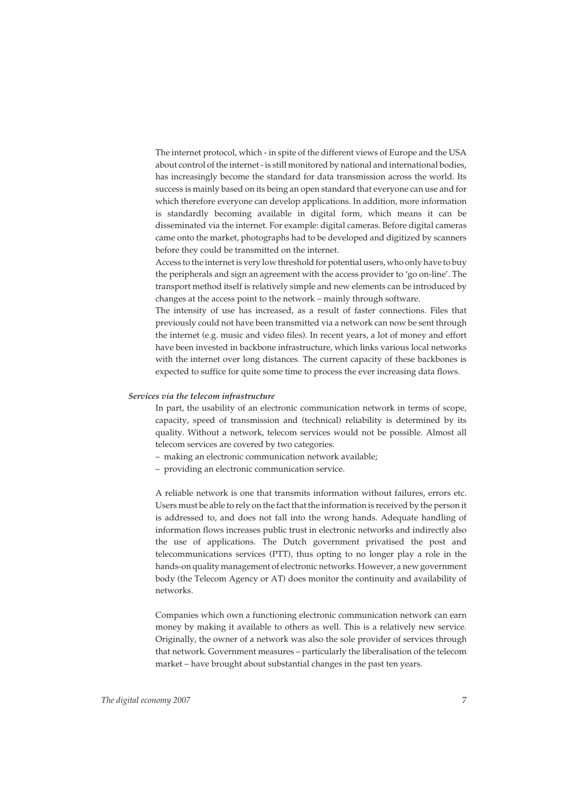The internet protocol, which - in spite of the different views of Europe and the USA about control of the internet - is still monitored by national and international bodies, has increasingly become the standard for data transmission across the world. Its success is mainly based on its being an open standard that everyone can use and for which therefore everyone can develop applications. In addition, more information is standardly becoming available in digital form, which means it can be disseminated via the internet. For example: digital cameras. Before digital cameras came onto the market, photographs had to be developed and digitized by scanners before they could be transmitted on the internet.

Access to the internet is very low threshold for potential users, who only have to buy the peripherals and sign an agreement with the access provider to 'go on-line'. The transport method itself is relatively simple and new elements can be introduced by changes at the access point to the network – mainly through software.

The intensity of use has increased, as a result of faster connections. Files that previously could not have been transmitted via a network can now be sent through the internet (e.g. music and video files). In recent years, a lot of money and effort have been invested in backbone infrastructure, which links various local networks with the internet over long distances. The current capacity of these backbones is expected to suffice for quite some time to process the ever increasing data flows.

#### *Services via the telecom infrastructure*

In part, the usability of an electronic communication network in terms of scope, capacity, speed of transmission and (technical) reliability is determined by its quality. Without a network, telecom services would not be possible. Almost all telecom services are covered by two categories:

- making an electronic communication network available;
- providing an electronic communication service.

A reliable network is one that transmits information without failures, errors etc. Users must be able to rely on the fact that the information is received by the person it is addressed to, and does not fall into the wrong hands. Adequate handling of information flows increases public trust in electronic networks and indirectly also the use of applications. The Dutch government privatised the post and telecommunications services (PTT), thus opting to no longer play a role in the hands-on quality management of electronic networks. However, a new government body (the Telecom Agency or AT) does monitor the continuity and availability of networks.

Companies which own a functioning electronic communication network can earn money by making it available to others as well. This is a relatively new service. Originally, the owner of a network was also the sole provider of services through that network. Government measures – particularly the liberalisation of the telecom market – have brought about substantial changes in the past ten years.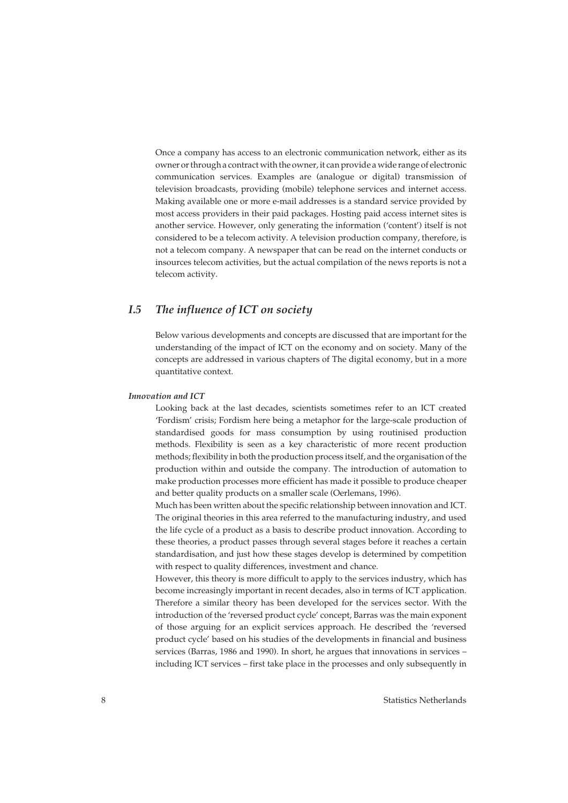Once a company has access to an electronic communication network, either as its owner or through a contract with the owner, it can provide a wide range of electronic communication services. Examples are (analogue or digital) transmission of television broadcasts, providing (mobile) telephone services and internet access. Making available one or more e-mail addresses is a standard service provided by most access providers in their paid packages. Hosting paid access internet sites is another service. However, only generating the information ('content') itself is not considered to be a telecom activity. A television production company, therefore, is not a telecom company. A newspaper that can be read on the internet conducts or insources telecom activities, but the actual compilation of the news reports is not a telecom activity.

## *I.5 The influence of ICT on society*

Below various developments and concepts are discussed that are important for the understanding of the impact of ICT on the economy and on society. Many of the concepts are addressed in various chapters of The digital economy, but in a more quantitative context.

#### *Innovation and ICT*

Looking back at the last decades, scientists sometimes refer to an ICT created 'Fordism' crisis; Fordism here being a metaphor for the large-scale production of standardised goods for mass consumption by using routinised production methods. Flexibility is seen as a key characteristic of more recent production methods; flexibility in both the production process itself, and the organisation of the production within and outside the company. The introduction of automation to make production processes more efficient has made it possible to produce cheaper and better quality products on a smaller scale (Oerlemans, 1996).

Much has been written about the specific relationship between innovation and ICT. The original theories in this area referred to the manufacturing industry, and used the life cycle of a product as a basis to describe product innovation. According to these theories, a product passes through several stages before it reaches a certain standardisation, and just how these stages develop is determined by competition with respect to quality differences, investment and chance.

However, this theory is more difficult to apply to the services industry, which has become increasingly important in recent decades, also in terms of ICT application. Therefore a similar theory has been developed for the services sector. With the introduction of the 'reversed product cycle' concept, Barras was the main exponent of those arguing for an explicit services approach. He described the 'reversed product cycle' based on his studies of the developments in financial and business services (Barras, 1986 and 1990). In short, he argues that innovations in services – including ICT services – first take place in the processes and only subsequently in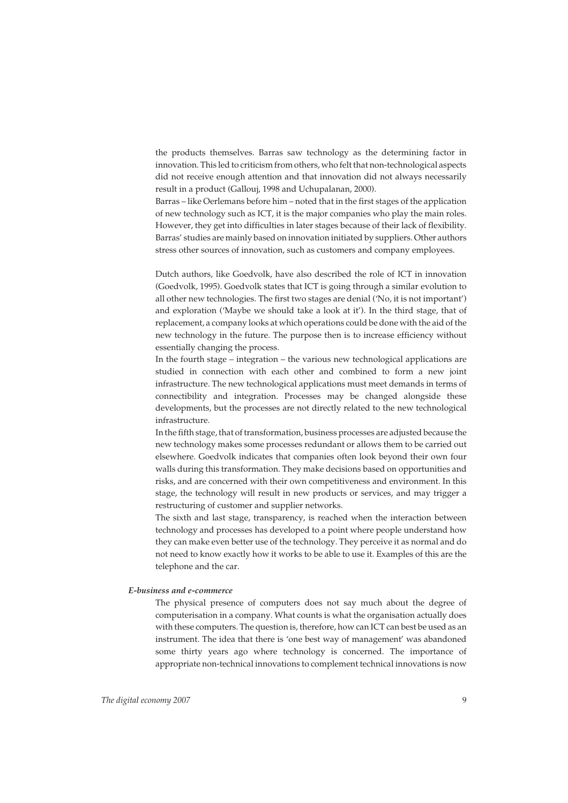the products themselves. Barras saw technology as the determining factor in innovation. This led to criticism from others, who felt that non-technological aspects did not receive enough attention and that innovation did not always necessarily result in a product (Gallouj, 1998 and Uchupalanan, 2000).

Barras – like Oerlemans before him – noted that in the first stages of the application of new technology such as ICT, it is the major companies who play the main roles. However, they get into difficulties in later stages because of their lack of flexibility. Barras' studies are mainly based on innovation initiated by suppliers. Other authors stress other sources of innovation, such as customers and company employees.

Dutch authors, like Goedvolk, have also described the role of ICT in innovation (Goedvolk, 1995). Goedvolk states that ICT is going through a similar evolution to all other new technologies. The first two stages are denial ('No, it is not important') and exploration ('Maybe we should take a look at it'). In the third stage, that of replacement, a company looks at which operations could be done with the aid of the new technology in the future. The purpose then is to increase efficiency without essentially changing the process.

In the fourth stage – integration – the various new technological applications are studied in connection with each other and combined to form a new joint infrastructure. The new technological applications must meet demands in terms of connectibility and integration. Processes may be changed alongside these developments, but the processes are not directly related to the new technological infrastructure.

In the fifth stage, that of transformation, business processes are adjusted because the new technology makes some processes redundant or allows them to be carried out elsewhere. Goedvolk indicates that companies often look beyond their own four walls during this transformation. They make decisions based on opportunities and risks, and are concerned with their own competitiveness and environment. In this stage, the technology will result in new products or services, and may trigger a restructuring of customer and supplier networks.

The sixth and last stage, transparency, is reached when the interaction between technology and processes has developed to a point where people understand how they can make even better use of the technology. They perceive it as normal and do not need to know exactly how it works to be able to use it. Examples of this are the telephone and the car.

#### *E-business and e-commerce*

The physical presence of computers does not say much about the degree of computerisation in a company. What counts is what the organisation actually does with these computers. The question is, therefore, how can ICT can best be used as an instrument. The idea that there is 'one best way of management' was abandoned some thirty years ago where technology is concerned. The importance of appropriate non-technical innovations to complement technical innovations is now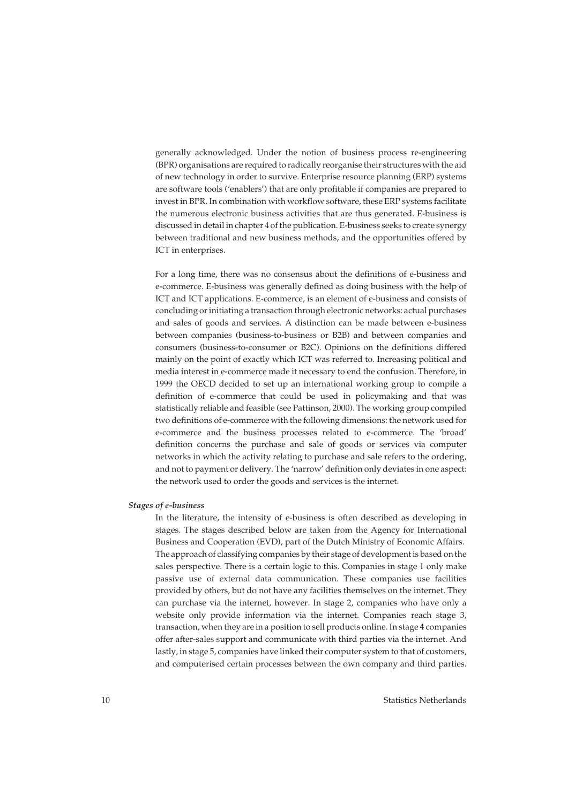generally acknowledged. Under the notion of business process re-engineering (BPR) organisations are required to radically reorganise their structures with the aid of new technology in order to survive. Enterprise resource planning (ERP) systems are software tools ('enablers') that are only profitable if companies are prepared to invest in BPR. In combination with workflow software, these ERP systems facilitate the numerous electronic business activities that are thus generated. E-business is discussed in detail in chapter 4 of the publication. E-business seeks to create synergy between traditional and new business methods, and the opportunities offered by ICT in enterprises.

For a long time, there was no consensus about the definitions of e-business and e-commerce. E-business was generally defined as doing business with the help of ICT and ICT applications. E-commerce, is an element of e-business and consists of concluding or initiating a transaction through electronic networks: actual purchases and sales of goods and services. A distinction can be made between e-business between companies (business-to-business or B2B) and between companies and consumers (business-to-consumer or B2C). Opinions on the definitions differed mainly on the point of exactly which ICT was referred to. Increasing political and media interest in e-commerce made it necessary to end the confusion. Therefore, in 1999 the OECD decided to set up an international working group to compile a definition of e-commerce that could be used in policymaking and that was statistically reliable and feasible (see Pattinson, 2000). The working group compiled two definitions of e-commerce with the following dimensions: the network used for e-commerce and the business processes related to e-commerce. The 'broad' definition concerns the purchase and sale of goods or services via computer networks in which the activity relating to purchase and sale refers to the ordering, and not to payment or delivery. The 'narrow' definition only deviates in one aspect: the network used to order the goods and services is the internet.

#### *Stages of e-business*

In the literature, the intensity of e-business is often described as developing in stages. The stages described below are taken from the Agency for International Business and Cooperation (EVD), part of the Dutch Ministry of Economic Affairs. The approach of classifying companies by their stage of development is based on the sales perspective. There is a certain logic to this. Companies in stage 1 only make passive use of external data communication. These companies use facilities provided by others, but do not have any facilities themselves on the internet. They can purchase via the internet, however. In stage 2, companies who have only a website only provide information via the internet. Companies reach stage 3, transaction, when they are in a position to sell products online. In stage 4 companies offer after-sales support and communicate with third parties via the internet. And lastly, in stage 5, companies have linked their computer system to that of customers, and computerised certain processes between the own company and third parties.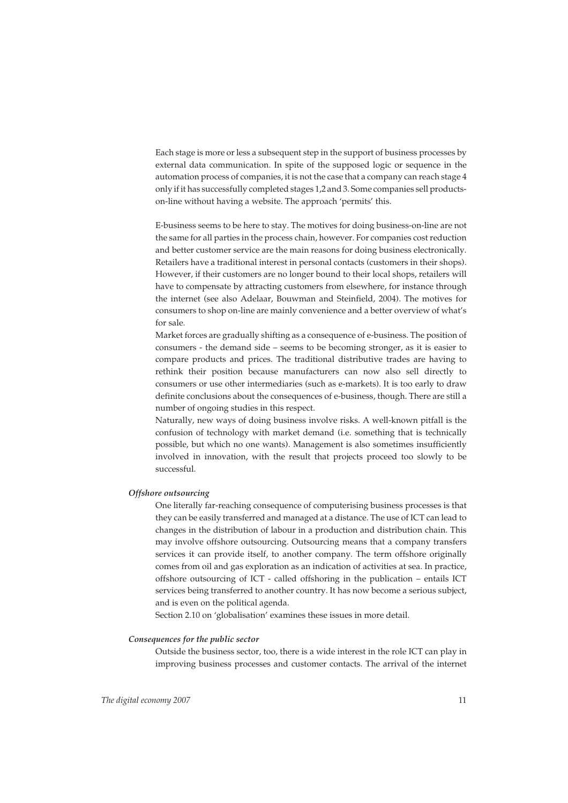Each stage is more or less a subsequent step in the support of business processes by external data communication. In spite of the supposed logic or sequence in the automation process of companies, it is not the case that a company can reach stage 4 only if it has successfully completed stages 1,2 and 3. Some companies sell productson-line without having a website. The approach 'permits' this.

E-business seems to be here to stay. The motives for doing business-on-line are not the same for all parties in the process chain, however. For companies cost reduction and better customer service are the main reasons for doing business electronically. Retailers have a traditional interest in personal contacts (customers in their shops). However, if their customers are no longer bound to their local shops, retailers will have to compensate by attracting customers from elsewhere, for instance through the internet (see also Adelaar, Bouwman and Steinfield, 2004). The motives for consumers to shop on-line are mainly convenience and a better overview of what's for sale.

Market forces are gradually shifting as a consequence of e-business. The position of consumers - the demand side – seems to be becoming stronger, as it is easier to compare products and prices. The traditional distributive trades are having to rethink their position because manufacturers can now also sell directly to consumers or use other intermediaries (such as e-markets). It is too early to draw definite conclusions about the consequences of e-business, though. There are still a number of ongoing studies in this respect.

Naturally, new ways of doing business involve risks. A well-known pitfall is the confusion of technology with market demand (i.e. something that is technically possible, but which no one wants). Management is also sometimes insufficiently involved in innovation, with the result that projects proceed too slowly to be successful.

#### *Offshore outsourcing*

One literally far-reaching consequence of computerising business processes is that they can be easily transferred and managed at a distance. The use of ICT can lead to changes in the distribution of labour in a production and distribution chain. This may involve offshore outsourcing. Outsourcing means that a company transfers services it can provide itself, to another company. The term offshore originally comes from oil and gas exploration as an indication of activities at sea. In practice, offshore outsourcing of ICT - called offshoring in the publication – entails ICT services being transferred to another country. It has now become a serious subject, and is even on the political agenda.

Section 2.10 on 'globalisation' examines these issues in more detail.

#### *Consequences for the public sector*

Outside the business sector, too, there is a wide interest in the role ICT can play in improving business processes and customer contacts. The arrival of the internet